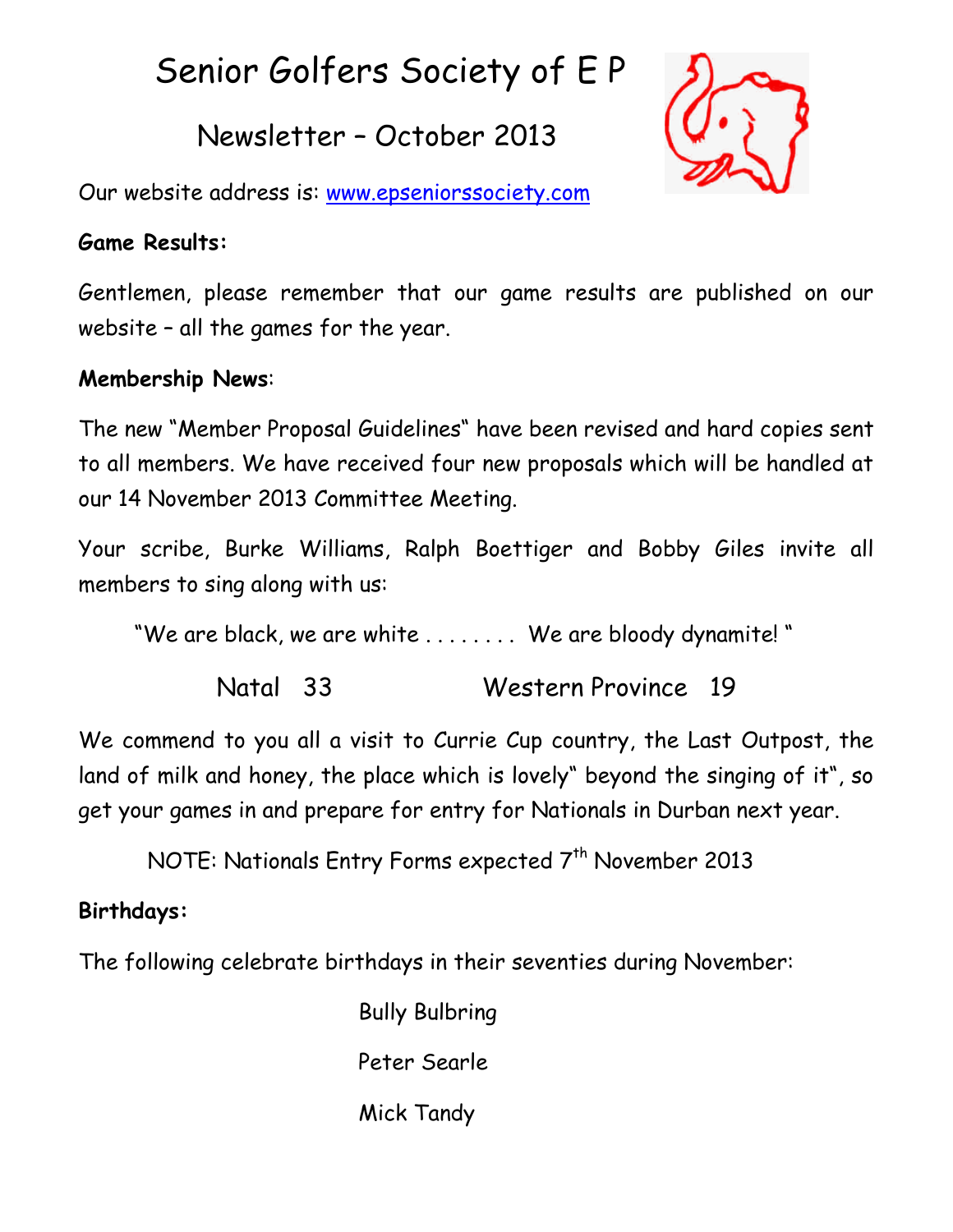# Senior Golfers Society of E P

# Newsletter – October 2013



Our website address is: [www.epseniorssociety.com](http://www.epseniorssociety.com/)

## **Game Results:**

Gentlemen, please remember that our game results are published on our website – all the games for the year.

## **Membership News**:

The new "Member Proposal Guidelines" have been revised and hard copies sent to all members. We have received four new proposals which will be handled at our 14 November 2013 Committee Meeting.

Your scribe, Burke Williams, Ralph Boettiger and Bobby Giles invite all members to sing along with us:

"We are black, we are white . . . . . . . . We are bloody dynamite! "

Natal 33 Western Province 19

We commend to you all a visit to Currie Cup country, the Last Outpost, the land of milk and honey, the place which is lovely" beyond the singing of it", so get your games in and prepare for entry for Nationals in Durban next year.

NOTE: Nationals Entry Forms expected  $7<sup>th</sup>$  November 2013

# **Birthdays:**

The following celebrate birthdays in their seventies during November:

Bully Bulbring Peter Searle Mick Tandy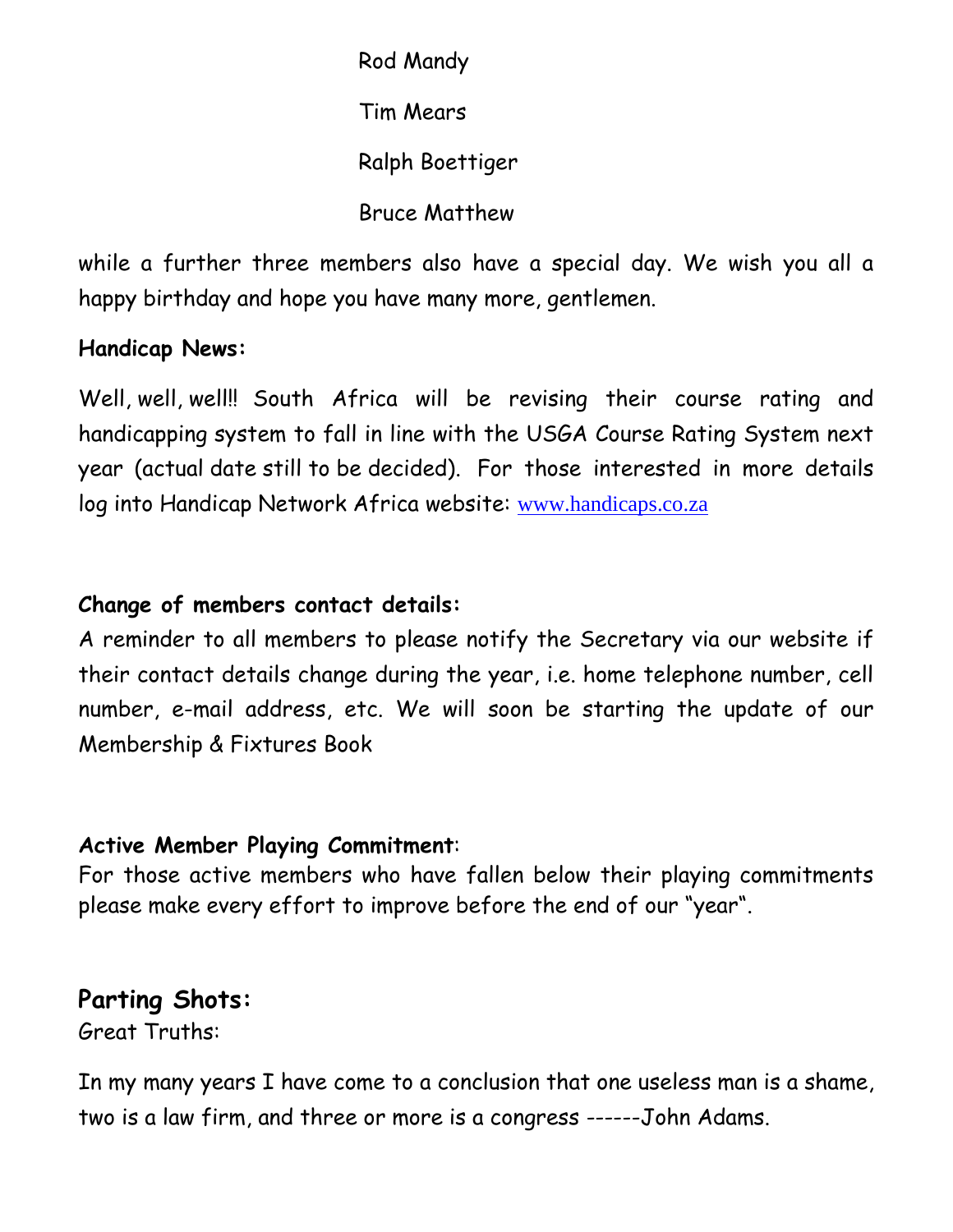Rod Mandy Tim Mears Ralph Boettiger Bruce Matthew

while a further three members also have a special day. We wish you all a happy birthday and hope you have many more, gentlemen.

#### **Handicap News:**

Well, well, well!! South Africa will be revising their course rating and handicapping system to fall in line with the USGA Course Rating System next year (actual date still to be decided). For those interested in more details log into Handicap Network Africa website: [www.handicaps.co.za](http://www.handicaps.co.za/)

#### **Change of members contact details:**

A reminder to all members to please notify the Secretary via our website if their contact details change during the year, i.e. home telephone number, cell number, e-mail address, etc. We will soon be starting the update of our Membership & Fixtures Book

#### **Active Member Playing Commitment**:

For those active members who have fallen below their playing commitments please make every effort to improve before the end of our "year".

#### **Parting Shots:**

Great Truths:

In my many years I have come to a conclusion that one useless man is a shame, two is a law firm, and three or more is a congress ------John Adams.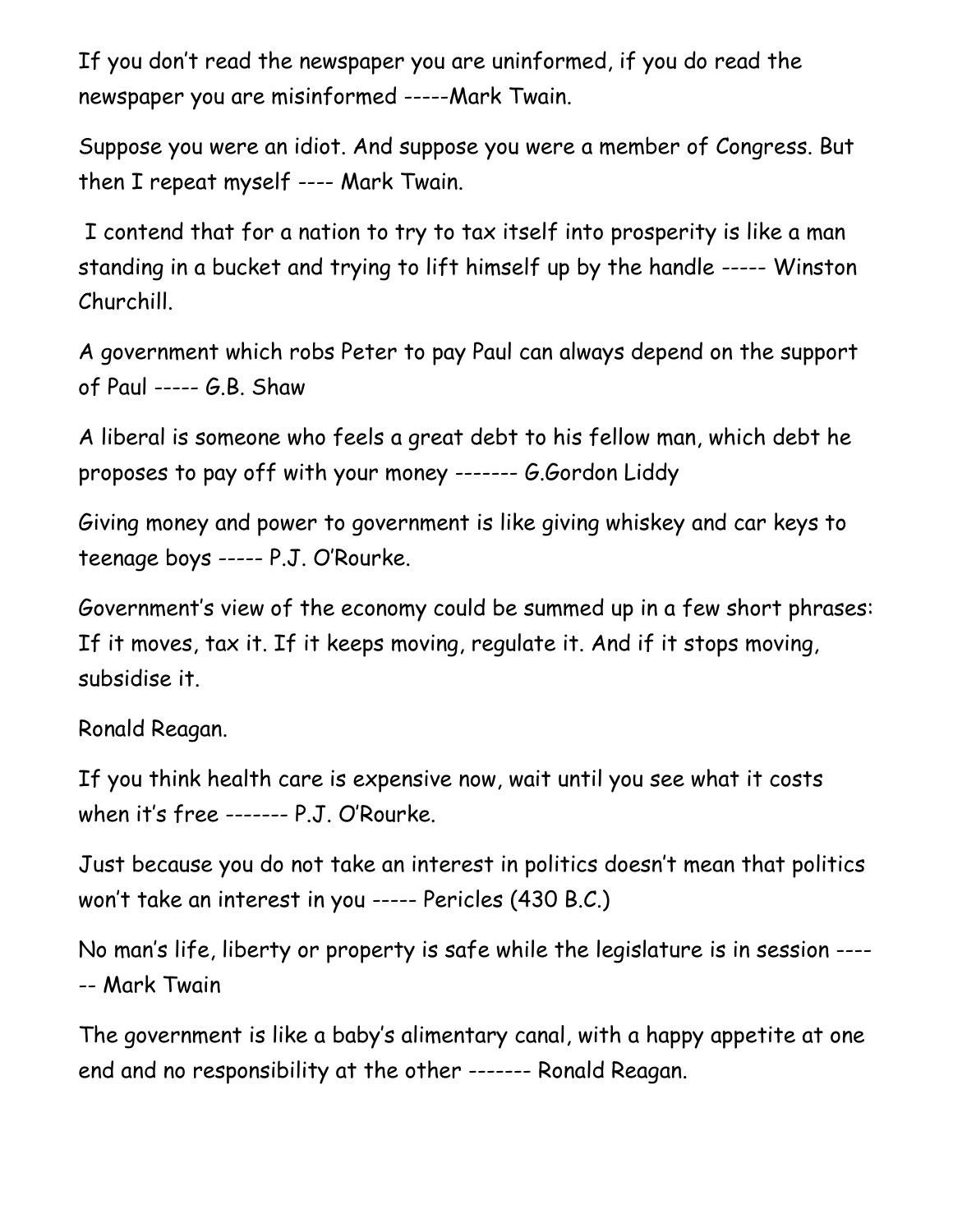If you don't read the newspaper you are uninformed, if you do read the newspaper you are misinformed -----Mark Twain.

Suppose you were an idiot. And suppose you were a member of Congress. But then I repeat myself ---- Mark Twain.

I contend that for a nation to try to tax itself into prosperity is like a man standing in a bucket and trying to lift himself up by the handle ----- Winston Churchill.

A government which robs Peter to pay Paul can always depend on the support of Paul ----- G.B. Shaw

A liberal is someone who feels a great debt to his fellow man, which debt he proposes to pay off with your money ------- G.Gordon Liddy

Giving money and power to government is like giving whiskey and car keys to teenage boys ----- P.J. O'Rourke.

Government's view of the economy could be summed up in a few short phrases: If it moves, tax it. If it keeps moving, regulate it. And if it stops moving, subsidise it.

Ronald Reagan.

If you think health care is expensive now, wait until you see what it costs when it's free ------- P.J. O'Rourke.

Just because you do not take an interest in politics doesn't mean that politics won't take an interest in you ----- Pericles (430 B.C.)

No man's life, liberty or property is safe while the legislature is in session ---- -- Mark Twain

The government is like a baby's alimentary canal, with a happy appetite at one end and no responsibility at the other ------- Ronald Reagan.